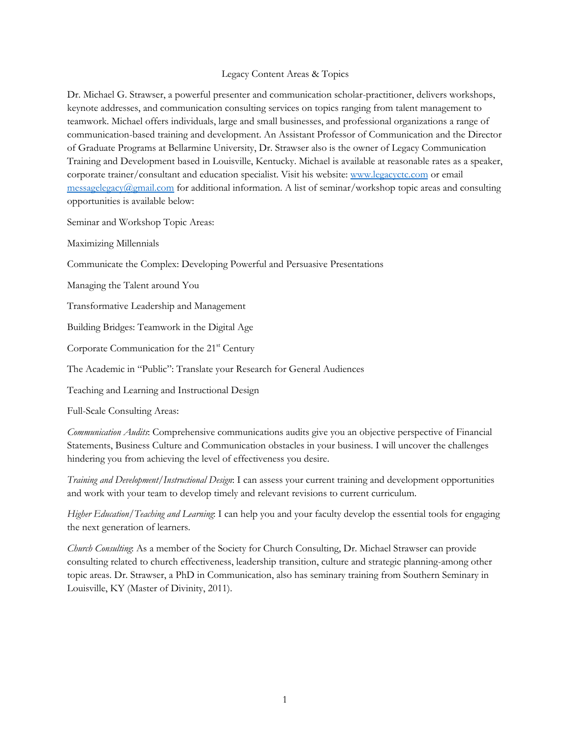## Legacy Content Areas & Topics

Dr. Michael G. Strawser, a powerful presenter and communication scholar-practitioner, delivers workshops, keynote addresses, and communication consulting services on topics ranging from talent management to teamwork. Michael offers individuals, large and small businesses, and professional organizations a range of communication-based training and development. An Assistant Professor of Communication and the Director of Graduate Programs at Bellarmine University, Dr. Strawser also is the owner of Legacy Communication Training and Development based in Louisville, Kentucky. Michael is available at reasonable rates as a speaker, corporate trainer/consultant and education specialist. Visit his website: [www.legacyctc.com](http://www.legacyctc.com/) or email  $\frac{m}{\text{messagelegacy}(a\text{gmail.com})}$  for additional information. A list of seminar/workshop topic areas and consulting opportunities is available below:

Seminar and Workshop Topic Areas:

Maximizing Millennials

Communicate the Complex: Developing Powerful and Persuasive Presentations

Managing the Talent around You

Transformative Leadership and Management

Building Bridges: Teamwork in the Digital Age

Corporate Communication for the 21<sup>st</sup> Century

The Academic in "Public": Translate your Research for General Audiences

Teaching and Learning and Instructional Design

Full-Scale Consulting Areas:

*Communication Audits*: Comprehensive communications audits give you an objective perspective of Financial Statements, Business Culture and Communication obstacles in your business. I will uncover the challenges hindering you from achieving the level of effectiveness you desire.

*Training and Development/Instructional Design*: I can assess your current training and development opportunities and work with your team to develop timely and relevant revisions to current curriculum.

*Higher Education/Teaching and Learning*: I can help you and your faculty develop the essential tools for engaging the next generation of learners.

*Church Consulting*: As a member of the Society for Church Consulting, Dr. Michael Strawser can provide consulting related to church effectiveness, leadership transition, culture and strategic planning-among other topic areas. Dr. Strawser, a PhD in Communication, also has seminary training from Southern Seminary in Louisville, KY (Master of Divinity, 2011).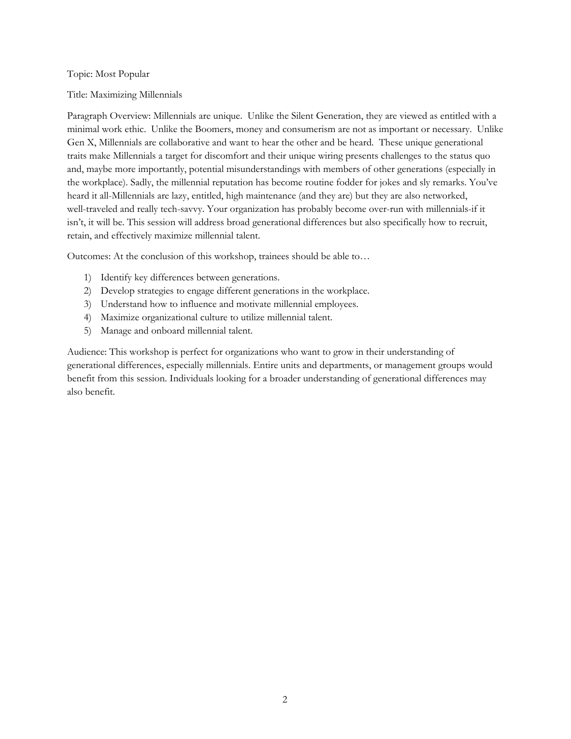Topic: Most Popular

Title: Maximizing Millennials

Paragraph Overview: Millennials are unique. Unlike the Silent Generation, they are viewed as entitled with a minimal work ethic. Unlike the Boomers, money and consumerism are not as important or necessary. Unlike Gen X, Millennials are collaborative and want to hear the other and be heard. These unique generational traits make Millennials a target for discomfort and their unique wiring presents challenges to the status quo and, maybe more importantly, potential misunderstandings with members of other generations (especially in the workplace). Sadly, the millennial reputation has become routine fodder for jokes and sly remarks. You've heard it all-Millennials are lazy, entitled, high maintenance (and they are) but they are also networked, well-traveled and really tech-savvy. Your organization has probably become over-run with millennials-if it isn't, it will be. This session will address broad generational differences but also specifically how to recruit, retain, and effectively maximize millennial talent.

Outcomes: At the conclusion of this workshop, trainees should be able to…

- 1) Identify key differences between generations.
- 2) Develop strategies to engage different generations in the workplace.
- 3) Understand how to influence and motivate millennial employees.
- 4) Maximize organizational culture to utilize millennial talent.
- 5) Manage and onboard millennial talent.

Audience: This workshop is perfect for organizations who want to grow in their understanding of generational differences, especially millennials. Entire units and departments, or management groups would benefit from this session. Individuals looking for a broader understanding of generational differences may also benefit.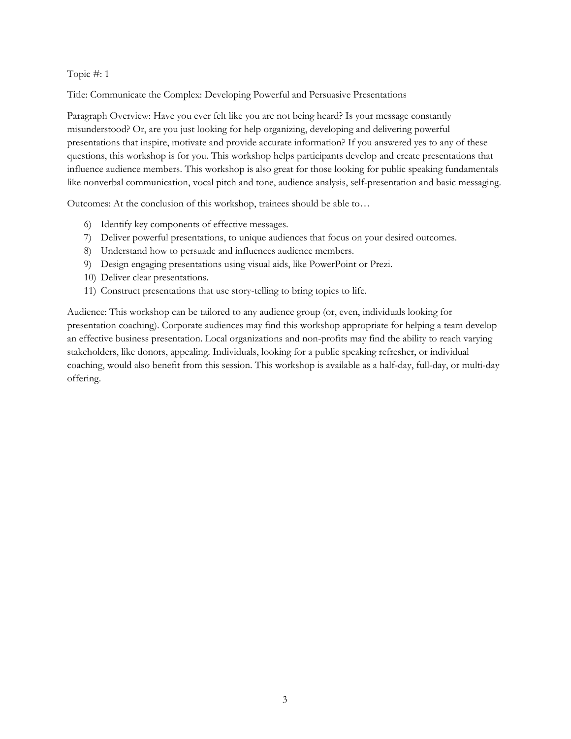Title: Communicate the Complex: Developing Powerful and Persuasive Presentations

Paragraph Overview: Have you ever felt like you are not being heard? Is your message constantly misunderstood? Or, are you just looking for help organizing, developing and delivering powerful presentations that inspire, motivate and provide accurate information? If you answered yes to any of these questions, this workshop is for you. This workshop helps participants develop and create presentations that influence audience members. This workshop is also great for those looking for public speaking fundamentals like nonverbal communication, vocal pitch and tone, audience analysis, self-presentation and basic messaging.

Outcomes: At the conclusion of this workshop, trainees should be able to…

- 6) Identify key components of effective messages.
- 7) Deliver powerful presentations, to unique audiences that focus on your desired outcomes.
- 8) Understand how to persuade and influences audience members.
- 9) Design engaging presentations using visual aids, like PowerPoint or Prezi.
- 10) Deliver clear presentations.
- 11) Construct presentations that use story-telling to bring topics to life.

Audience: This workshop can be tailored to any audience group (or, even, individuals looking for presentation coaching). Corporate audiences may find this workshop appropriate for helping a team develop an effective business presentation. Local organizations and non-profits may find the ability to reach varying stakeholders, like donors, appealing. Individuals, looking for a public speaking refresher, or individual coaching, would also benefit from this session. This workshop is available as a half-day, full-day, or multi-day offering.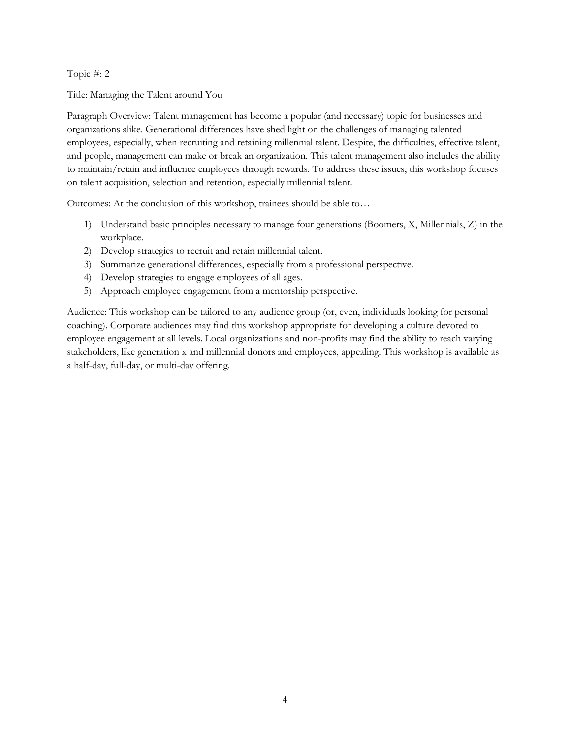Title: Managing the Talent around You

Paragraph Overview: Talent management has become a popular (and necessary) topic for businesses and organizations alike. Generational differences have shed light on the challenges of managing talented employees, especially, when recruiting and retaining millennial talent. Despite, the difficulties, effective talent, and people, management can make or break an organization. This talent management also includes the ability to maintain/retain and influence employees through rewards. To address these issues, this workshop focuses on talent acquisition, selection and retention, especially millennial talent.

Outcomes: At the conclusion of this workshop, trainees should be able to…

- 1) Understand basic principles necessary to manage four generations (Boomers, X, Millennials, Z) in the workplace.
- 2) Develop strategies to recruit and retain millennial talent.
- 3) Summarize generational differences, especially from a professional perspective.
- 4) Develop strategies to engage employees of all ages.
- 5) Approach employee engagement from a mentorship perspective.

Audience: This workshop can be tailored to any audience group (or, even, individuals looking for personal coaching). Corporate audiences may find this workshop appropriate for developing a culture devoted to employee engagement at all levels. Local organizations and non-profits may find the ability to reach varying stakeholders, like generation x and millennial donors and employees, appealing. This workshop is available as a half-day, full-day, or multi-day offering.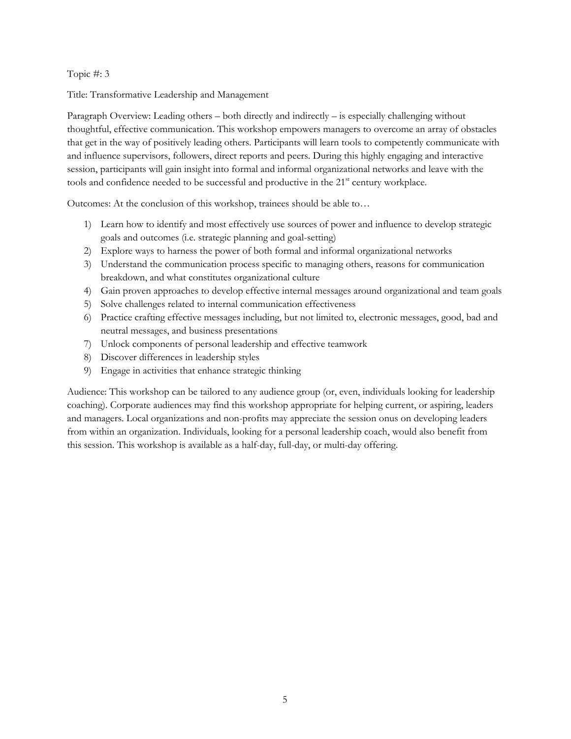Title: Transformative Leadership and Management

Paragraph Overview: Leading others – both directly and indirectly – is especially challenging without thoughtful, effective communication. This workshop empowers managers to overcome an array of obstacles that get in the way of positively leading others. Participants will learn tools to competently communicate with and influence supervisors, followers, direct reports and peers. During this highly engaging and interactive session, participants will gain insight into formal and informal organizational networks and leave with the tools and confidence needed to be successful and productive in the 21<sup>st</sup> century workplace.

Outcomes: At the conclusion of this workshop, trainees should be able to…

- 1) Learn how to identify and most effectively use sources of power and influence to develop strategic goals and outcomes (i.e. strategic planning and goal-setting)
- 2) Explore ways to harness the power of both formal and informal organizational networks
- 3) Understand the communication process specific to managing others, reasons for communication breakdown, and what constitutes organizational culture
- 4) Gain proven approaches to develop effective internal messages around organizational and team goals
- 5) Solve challenges related to internal communication effectiveness
- 6) Practice crafting effective messages including, but not limited to, electronic messages, good, bad and neutral messages, and business presentations
- 7) Unlock components of personal leadership and effective teamwork
- 8) Discover differences in leadership styles
- 9) Engage in activities that enhance strategic thinking

Audience: This workshop can be tailored to any audience group (or, even, individuals looking for leadership coaching). Corporate audiences may find this workshop appropriate for helping current, or aspiring, leaders and managers. Local organizations and non-profits may appreciate the session onus on developing leaders from within an organization. Individuals, looking for a personal leadership coach, would also benefit from this session. This workshop is available as a half-day, full-day, or multi-day offering.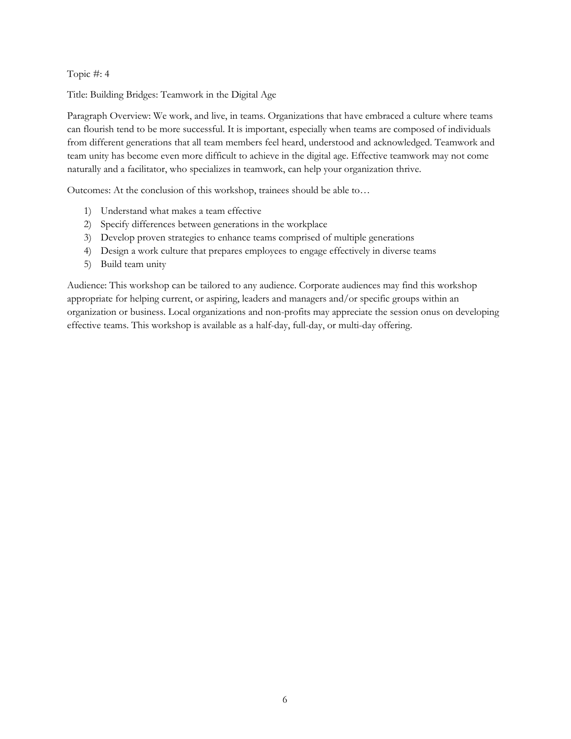Title: Building Bridges: Teamwork in the Digital Age

Paragraph Overview: We work, and live, in teams. Organizations that have embraced a culture where teams can flourish tend to be more successful. It is important, especially when teams are composed of individuals from different generations that all team members feel heard, understood and acknowledged. Teamwork and team unity has become even more difficult to achieve in the digital age. Effective teamwork may not come naturally and a facilitator, who specializes in teamwork, can help your organization thrive.

Outcomes: At the conclusion of this workshop, trainees should be able to…

- 1) Understand what makes a team effective
- 2) Specify differences between generations in the workplace
- 3) Develop proven strategies to enhance teams comprised of multiple generations
- 4) Design a work culture that prepares employees to engage effectively in diverse teams
- 5) Build team unity

Audience: This workshop can be tailored to any audience. Corporate audiences may find this workshop appropriate for helping current, or aspiring, leaders and managers and/or specific groups within an organization or business. Local organizations and non-profits may appreciate the session onus on developing effective teams. This workshop is available as a half-day, full-day, or multi-day offering.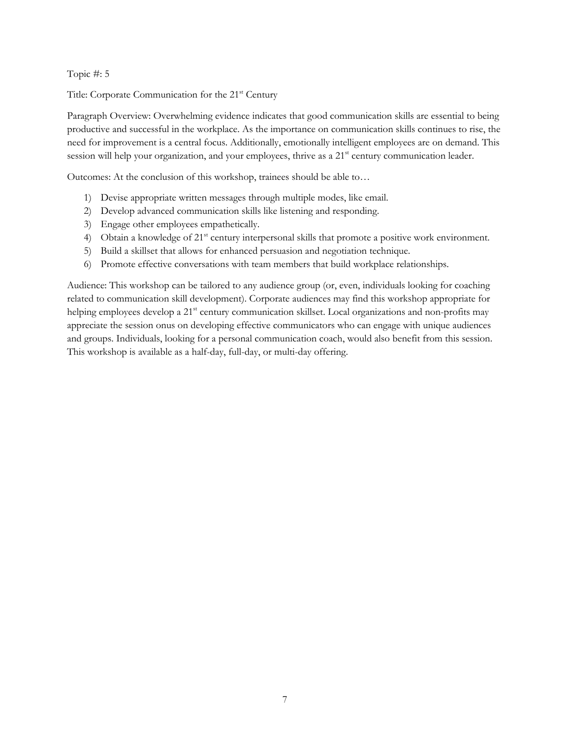Title: Corporate Communication for the 21<sup>st</sup> Century

Paragraph Overview: Overwhelming evidence indicates that good communication skills are essential to being productive and successful in the workplace. As the importance on communication skills continues to rise, the need for improvement is a central focus. Additionally, emotionally intelligent employees are on demand. This session will help your organization, and your employees, thrive as a 21<sup>st</sup> century communication leader.

Outcomes: At the conclusion of this workshop, trainees should be able to…

- 1) Devise appropriate written messages through multiple modes, like email.
- 2) Develop advanced communication skills like listening and responding.
- 3) Engage other employees empathetically.
- 4) Obtain a knowledge of 21<sup>st</sup> century interpersonal skills that promote a positive work environment.
- 5) Build a skillset that allows for enhanced persuasion and negotiation technique.
- 6) Promote effective conversations with team members that build workplace relationships.

Audience: This workshop can be tailored to any audience group (or, even, individuals looking for coaching related to communication skill development). Corporate audiences may find this workshop appropriate for helping employees develop a 21<sup>st</sup> century communication skillset. Local organizations and non-profits may appreciate the session onus on developing effective communicators who can engage with unique audiences and groups. Individuals, looking for a personal communication coach, would also benefit from this session. This workshop is available as a half-day, full-day, or multi-day offering.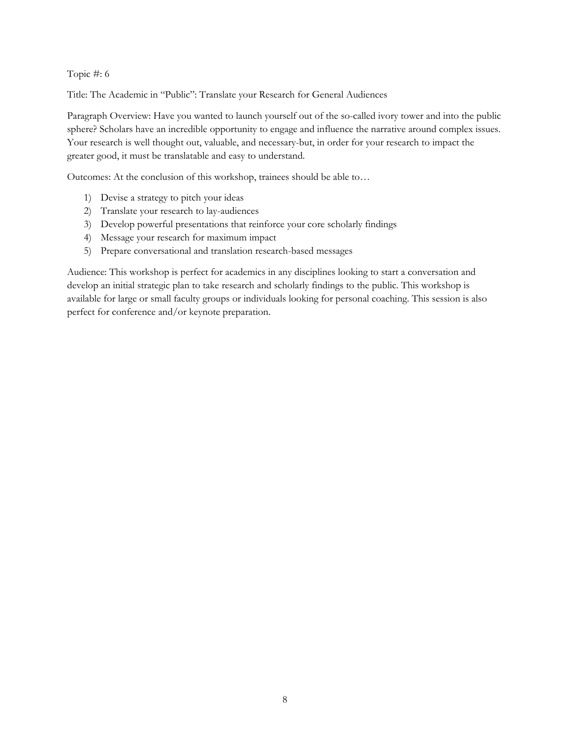Title: The Academic in "Public": Translate your Research for General Audiences

Paragraph Overview: Have you wanted to launch yourself out of the so-called ivory tower and into the public sphere? Scholars have an incredible opportunity to engage and influence the narrative around complex issues. Your research is well thought out, valuable, and necessary-but, in order for your research to impact the greater good, it must be translatable and easy to understand.

Outcomes: At the conclusion of this workshop, trainees should be able to…

- 1) Devise a strategy to pitch your ideas
- 2) Translate your research to lay-audiences
- 3) Develop powerful presentations that reinforce your core scholarly findings
- 4) Message your research for maximum impact
- 5) Prepare conversational and translation research-based messages

Audience: This workshop is perfect for academics in any disciplines looking to start a conversation and develop an initial strategic plan to take research and scholarly findings to the public. This workshop is available for large or small faculty groups or individuals looking for personal coaching. This session is also perfect for conference and/or keynote preparation.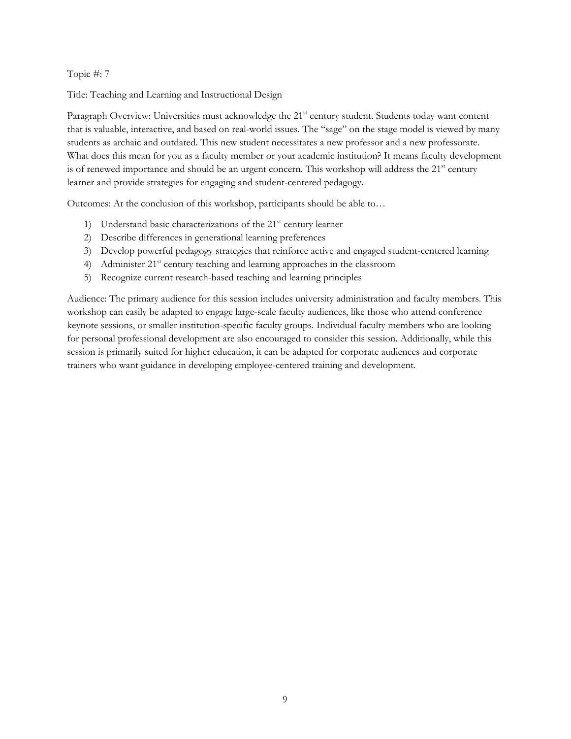Title: Teaching and Learning and Instructional Design

Paragraph Overview: Universities must acknowledge the 21<sup>st</sup> century student. Students today want content that is valuable, interactive, and based on real-world issues. The "sage" on the stage model is viewed by many students as archaic and outdated. This new student necessitates a new professor and a new professorate. What does this mean for you as a faculty member or your academic institution? It means faculty development is of renewed importance and should be an urgent concern. This workshop will address the 21<sup>st</sup> century learner and provide strategies for engaging and student-centered pedagogy.

Outcomes: At the conclusion of this workshop, participants should be able to…

- 1) Understand basic characterizations of the 21<sup>st</sup> century learner
- 2) Describe differences in generational learning preferences
- 3) Develop powerful pedagogy strategies that reinforce active and engaged student-centered learning
- 4) Administer 21<sup>st</sup> century teaching and learning approaches in the classroom
- 5) Recognize current research-based teaching and learning principles

Audience: The primary audience for this session includes university administration and faculty members. This workshop can easily be adapted to engage large-scale faculty audiences, like those who attend conference keynote sessions, or smaller institution-specific faculty groups. Individual faculty members who are looking for personal professional development are also encouraged to consider this session. Additionally, while this session is primarily suited for higher education, it can be adapted for corporate audiences and corporate trainers who want guidance in developing employee-centered training and development.